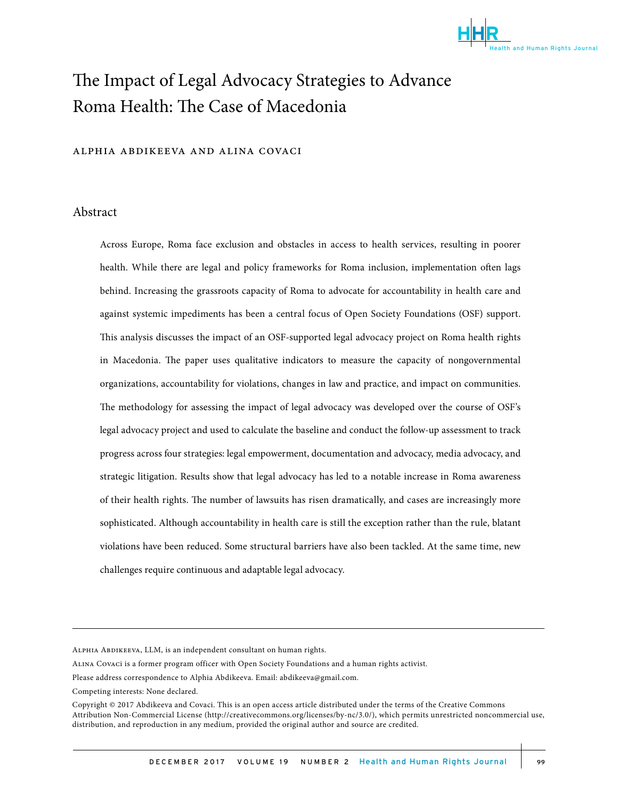

# The Impact of Legal Advocacy Strategies to Advance Roma Health: The Case of Macedonia

#### alphia abdikeeva and alina covaci

# Abstract

Across Europe, Roma face exclusion and obstacles in access to health services, resulting in poorer health. While there are legal and policy frameworks for Roma inclusion, implementation often lags behind. Increasing the grassroots capacity of Roma to advocate for accountability in health care and against systemic impediments has been a central focus of Open Society Foundations (OSF) support. This analysis discusses the impact of an OSF-supported legal advocacy project on Roma health rights in Macedonia. The paper uses qualitative indicators to measure the capacity of nongovernmental organizations, accountability for violations, changes in law and practice, and impact on communities. The methodology for assessing the impact of legal advocacy was developed over the course of OSF's legal advocacy project and used to calculate the baseline and conduct the follow-up assessment to track progress across four strategies: legal empowerment, documentation and advocacy, media advocacy, and strategic litigation. Results show that legal advocacy has led to a notable increase in Roma awareness of their health rights. The number of lawsuits has risen dramatically, and cases are increasingly more sophisticated. Although accountability in health care is still the exception rather than the rule, blatant violations have been reduced. Some structural barriers have also been tackled. At the same time, new challenges require continuous and adaptable legal advocacy.

Alphia Abdikeeva, LLM, is an independent consultant on human rights.

Alina Covaci is a former program officer with Open Society Foundations and a human rights activist.

Please address correspondence to Alphia Abdikeeva. Email: abdikeeva@gmail.com.

Competing interests: None declared.

Copyright © 2017 Abdikeeva and Covaci. This is an open access article distributed under the terms of the Creative Commons Attribution Non-Commercial License (http://creativecommons.org/licenses/by-nc/3.0/), which permits unrestricted noncommercial use, distribution, and reproduction in any medium, provided the original author and source are credited.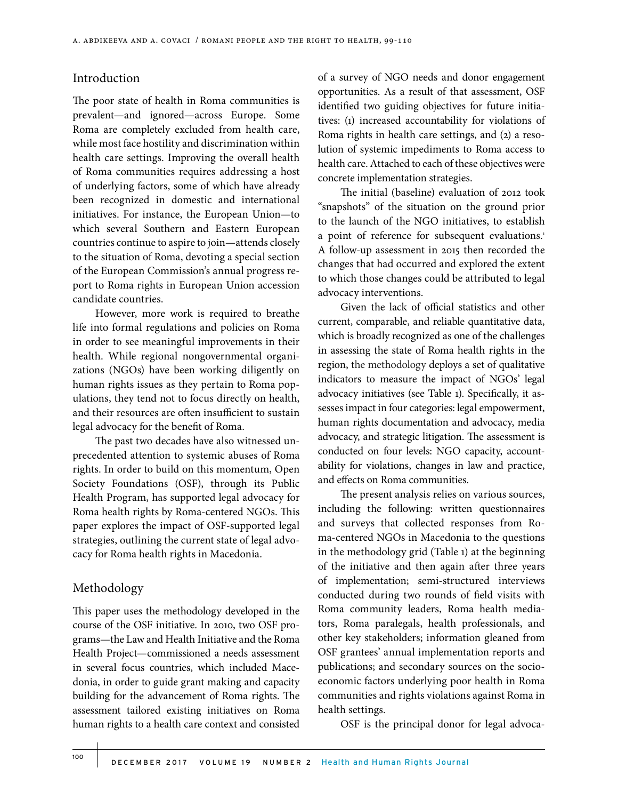# Introduction

The poor state of health in Roma communities is prevalent—and ignored—across Europe. Some Roma are completely excluded from health care, while most face hostility and discrimination within health care settings. Improving the overall health of Roma communities requires addressing a host of underlying factors, some of which have already been recognized in domestic and international initiatives. For instance, the European Union—to which several Southern and Eastern European countries continue to aspire to join—attends closely to the situation of Roma, devoting a special section of the European Commission's annual progress report to Roma rights in European Union accession candidate countries.

However, more work is required to breathe life into formal regulations and policies on Roma in order to see meaningful improvements in their health. While regional nongovernmental organizations (NGOs) have been working diligently on human rights issues as they pertain to Roma populations, they tend not to focus directly on health, and their resources are often insufficient to sustain legal advocacy for the benefit of Roma.

The past two decades have also witnessed unprecedented attention to systemic abuses of Roma rights. In order to build on this momentum, Open Society Foundations (OSF), through its Public Health Program, has supported legal advocacy for Roma health rights by Roma-centered NGOs. This paper explores the impact of OSF-supported legal strategies, outlining the current state of legal advocacy for Roma health rights in Macedonia.

# Methodology

This paper uses the methodology developed in the course of the OSF initiative. In 2010, two OSF programs—the Law and Health Initiative and the Roma Health Project—commissioned a needs assessment in several focus countries, which included Macedonia, in order to guide grant making and capacity building for the advancement of Roma rights. The assessment tailored existing initiatives on Roma human rights to a health care context and consisted of a survey of NGO needs and donor engagement opportunities. As a result of that assessment, OSF identified two guiding objectives for future initiatives: (1) increased accountability for violations of Roma rights in health care settings, and (2) a resolution of systemic impediments to Roma access to health care. Attached to each of these objectives were concrete implementation strategies.

The initial (baseline) evaluation of 2012 took "snapshots" of the situation on the ground prior to the launch of the NGO initiatives, to establish a point of reference for subsequent evaluations.<sup>1</sup> A follow-up assessment in 2015 then recorded the changes that had occurred and explored the extent to which those changes could be attributed to legal advocacy interventions.

Given the lack of official statistics and other current, comparable, and reliable quantitative data, which is broadly recognized as one of the challenges in assessing the state of Roma health rights in the region, the methodology deploys a set of qualitative indicators to measure the impact of NGOs' legal advocacy initiatives (see Table 1). Specifically, it assesses impact in four categories: legal empowerment, human rights documentation and advocacy, media advocacy, and strategic litigation. The assessment is conducted on four levels: NGO capacity, accountability for violations, changes in law and practice, and effects on Roma communities.

The present analysis relies on various sources, including the following: written questionnaires and surveys that collected responses from Roma-centered NGOs in Macedonia to the questions in the methodology grid (Table 1) at the beginning of the initiative and then again after three years of implementation; semi-structured interviews conducted during two rounds of field visits with Roma community leaders, Roma health mediators, Roma paralegals, health professionals, and other key stakeholders; information gleaned from OSF grantees' annual implementation reports and publications; and secondary sources on the socioeconomic factors underlying poor health in Roma communities and rights violations against Roma in health settings.

OSF is the principal donor for legal advoca-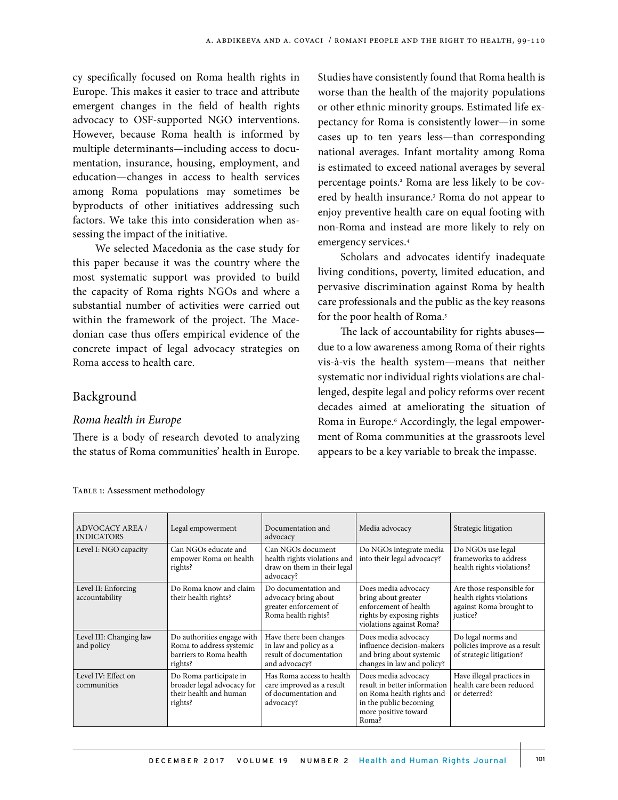cy specifically focused on Roma health rights in Europe. This makes it easier to trace and attribute emergent changes in the field of health rights advocacy to OSF-supported NGO interventions. However, because Roma health is informed by multiple determinants—including access to documentation, insurance, housing, employment, and education—changes in access to health services among Roma populations may sometimes be byproducts of other initiatives addressing such factors. We take this into consideration when assessing the impact of the initiative.

We selected Macedonia as the case study for this paper because it was the country where the most systematic support was provided to build the capacity of Roma rights NGOs and where a substantial number of activities were carried out within the framework of the project. The Macedonian case thus offers empirical evidence of the concrete impact of legal advocacy strategies on Roma access to health care.

# Background

# *Roma health in Europe*

There is a body of research devoted to analyzing the status of Roma communities' health in Europe.

Studies have consistently found that Roma health is worse than the health of the majority populations or other ethnic minority groups. Estimated life expectancy for Roma is consistently lower—in some cases up to ten years less—than corresponding national averages. Infant mortality among Roma is estimated to exceed national averages by several percentage points.2 Roma are less likely to be covered by health insurance.<sup>3</sup> Roma do not appear to enjoy preventive health care on equal footing with non-Roma and instead are more likely to rely on emergency services.4

Scholars and advocates identify inadequate living conditions, poverty, limited education, and pervasive discrimination against Roma by health care professionals and the public as the key reasons for the poor health of Roma.<sup>5</sup>

The lack of accountability for rights abuses due to a low awareness among Roma of their rights vis-à-vis the health system—means that neither systematic nor individual rights violations are challenged, despite legal and policy reforms over recent decades aimed at ameliorating the situation of Roma in Europe.6 Accordingly, the legal empowerment of Roma communities at the grassroots level appears to be a key variable to break the impasse.

| ADVOCACY AREA /<br><b>INDICATORS</b>  | Legal empowerment                                                                            | Documentation and<br>advocacy                                                                 | Media advocacy                                                                                                                              | Strategic litigation                                                                         |
|---------------------------------------|----------------------------------------------------------------------------------------------|-----------------------------------------------------------------------------------------------|---------------------------------------------------------------------------------------------------------------------------------------------|----------------------------------------------------------------------------------------------|
| Level I: NGO capacity                 | Can NGOs educate and<br>empower Roma on health<br>rights?                                    | Can NGOs document<br>health rights violations and<br>draw on them in their legal<br>advocacy? | Do NGOs integrate media<br>into their legal advocacy?                                                                                       | Do NGOs use legal<br>frameworks to address<br>health rights violations?                      |
| Level II: Enforcing<br>accountability | Do Roma know and claim<br>their health rights?                                               | Do documentation and<br>advocacy bring about<br>greater enforcement of<br>Roma health rights? | Does media advocacy<br>bring about greater<br>enforcement of health<br>rights by exposing rights<br>violations against Roma?                | Are those responsible for<br>health rights violations<br>against Roma brought to<br>justice? |
| Level III: Changing law<br>and policy | Do authorities engage with<br>Roma to address systemic<br>barriers to Roma health<br>rights? | Have there been changes<br>in law and policy as a<br>result of documentation<br>and advocacy? | Does media advocacy<br>influence decision-makers<br>and bring about systemic<br>changes in law and policy?                                  | Do legal norms and<br>policies improve as a result<br>of strategic litigation?               |
| Level IV: Effect on<br>communities    | Do Roma participate in<br>broader legal advocacy for<br>their health and human<br>rights?    | Has Roma access to health<br>care improved as a result<br>of documentation and<br>advocacy?   | Does media advocacy<br>result in better information<br>on Roma health rights and<br>in the public becoming<br>more positive toward<br>Roma? | Have illegal practices in<br>health care been reduced<br>or deterred?                        |

TABLE 1: Assessment methodology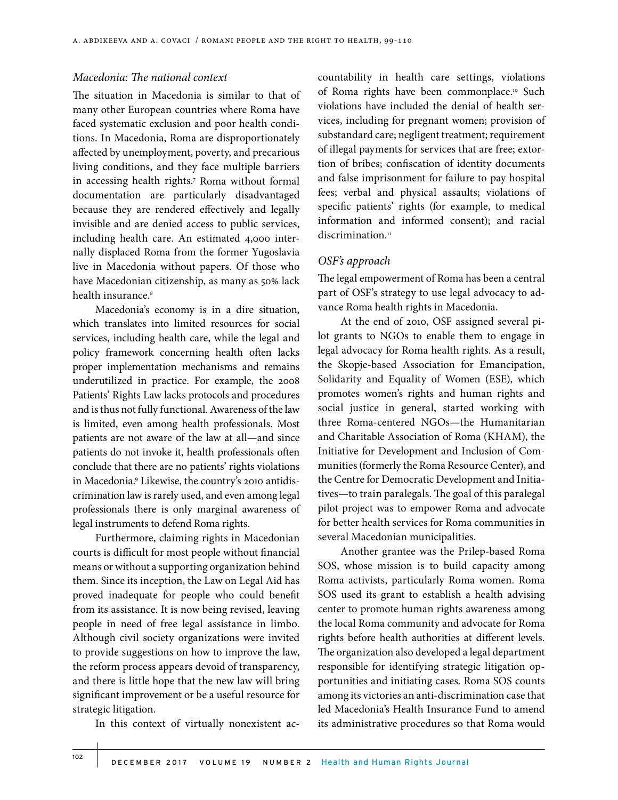# *Macedonia: The national context*

The situation in Macedonia is similar to that of many other European countries where Roma have faced systematic exclusion and poor health conditions. In Macedonia, Roma are disproportionately affected by unemployment, poverty, and precarious living conditions, and they face multiple barriers in accessing health rights.7 Roma without formal documentation are particularly disadvantaged because they are rendered effectively and legally invisible and are denied access to public services, including health care. An estimated 4,000 internally displaced Roma from the former Yugoslavia live in Macedonia without papers. Of those who have Macedonian citizenship, as many as 50% lack health insurance.<sup>8</sup>

Macedonia's economy is in a dire situation, which translates into limited resources for social services, including health care, while the legal and policy framework concerning health often lacks proper implementation mechanisms and remains underutilized in practice. For example, the 2008 Patients' Rights Law lacks protocols and procedures and is thus not fully functional. Awareness of the law is limited, even among health professionals. Most patients are not aware of the law at all—and since patients do not invoke it, health professionals often conclude that there are no patients' rights violations in Macedonia.9 Likewise, the country's 2010 antidiscrimination law is rarely used, and even among legal professionals there is only marginal awareness of legal instruments to defend Roma rights.

Furthermore, claiming rights in Macedonian courts is difficult for most people without financial means or without a supporting organization behind them. Since its inception, the Law on Legal Aid has proved inadequate for people who could benefit from its assistance. It is now being revised, leaving people in need of free legal assistance in limbo. Although civil society organizations were invited to provide suggestions on how to improve the law, the reform process appears devoid of transparency, and there is little hope that the new law will bring significant improvement or be a useful resource for strategic litigation.

In this context of virtually nonexistent ac-

countability in health care settings, violations of Roma rights have been commonplace.<sup>10</sup> Such violations have included the denial of health services, including for pregnant women; provision of substandard care; negligent treatment; requirement of illegal payments for services that are free; extortion of bribes; confiscation of identity documents and false imprisonment for failure to pay hospital fees; verbal and physical assaults; violations of specific patients' rights (for example, to medical information and informed consent); and racial discrimination.<sup>11</sup>

#### *OSF's approach*

The legal empowerment of Roma has been a central part of OSF's strategy to use legal advocacy to advance Roma health rights in Macedonia.

At the end of 2010, OSF assigned several pilot grants to NGOs to enable them to engage in legal advocacy for Roma health rights. As a result, the Skopje-based Association for Emancipation, Solidarity and Equality of Women (ESE), which promotes women's rights and human rights and social justice in general, started working with three Roma-centered NGOs—the Humanitarian and Charitable Association of Roma (KHAM), the Initiative for Development and Inclusion of Communities (formerly the Roma Resource Center), and the Centre for Democratic Development and Initiatives—to train paralegals. The goal of this paralegal pilot project was to empower Roma and advocate for better health services for Roma communities in several Macedonian municipalities.

Another grantee was the Prilep-based Roma SOS, whose mission is to build capacity among Roma activists, particularly Roma women. Roma SOS used its grant to establish a health advising center to promote human rights awareness among the local Roma community and advocate for Roma rights before health authorities at different levels. The organization also developed a legal department responsible for identifying strategic litigation opportunities and initiating cases. Roma SOS counts among its victories an anti-discrimination case that led Macedonia's Health Insurance Fund to amend its administrative procedures so that Roma would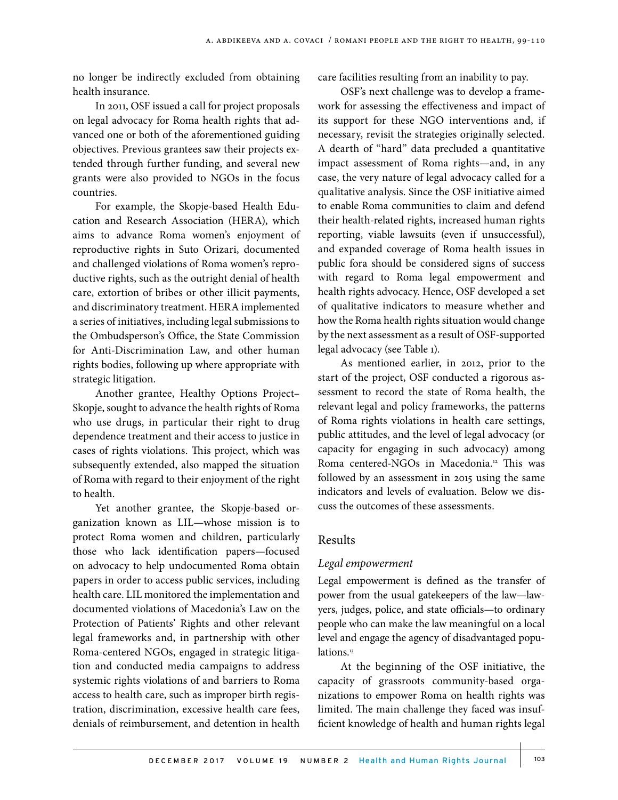no longer be indirectly excluded from obtaining health insurance.

In 2011, OSF issued a call for project proposals on legal advocacy for Roma health rights that advanced one or both of the aforementioned guiding objectives. Previous grantees saw their projects extended through further funding, and several new grants were also provided to NGOs in the focus countries.

For example, the Skopje-based Health Education and Research Association (HERA), which aims to advance Roma women's enjoyment of reproductive rights in Suto Orizari, documented and challenged violations of Roma women's reproductive rights, such as the outright denial of health care, extortion of bribes or other illicit payments, and discriminatory treatment. HERA implemented a series of initiatives, including legal submissions to the Ombudsperson's Office, the State Commission for Anti-Discrimination Law, and other human rights bodies, following up where appropriate with strategic litigation.

Another grantee, Healthy Options Project– Skopje, sought to advance the health rights of Roma who use drugs, in particular their right to drug dependence treatment and their access to justice in cases of rights violations. This project, which was subsequently extended, also mapped the situation of Roma with regard to their enjoyment of the right to health.

Yet another grantee, the Skopje-based organization known as LIL—whose mission is to protect Roma women and children, particularly those who lack identification papers—focused on advocacy to help undocumented Roma obtain papers in order to access public services, including health care. LIL monitored the implementation and documented violations of Macedonia's Law on the Protection of Patients' Rights and other relevant legal frameworks and, in partnership with other Roma-centered NGOs, engaged in strategic litigation and conducted media campaigns to address systemic rights violations of and barriers to Roma access to health care, such as improper birth registration, discrimination, excessive health care fees, denials of reimbursement, and detention in health

care facilities resulting from an inability to pay.

OSF's next challenge was to develop a framework for assessing the effectiveness and impact of its support for these NGO interventions and, if necessary, revisit the strategies originally selected. A dearth of "hard" data precluded a quantitative impact assessment of Roma rights—and, in any case, the very nature of legal advocacy called for a qualitative analysis. Since the OSF initiative aimed to enable Roma communities to claim and defend their health-related rights, increased human rights reporting, viable lawsuits (even if unsuccessful), and expanded coverage of Roma health issues in public fora should be considered signs of success with regard to Roma legal empowerment and health rights advocacy. Hence, OSF developed a set of qualitative indicators to measure whether and how the Roma health rights situation would change by the next assessment as a result of OSF-supported legal advocacy (see Table 1).

As mentioned earlier, in 2012, prior to the start of the project, OSF conducted a rigorous assessment to record the state of Roma health, the relevant legal and policy frameworks, the patterns of Roma rights violations in health care settings, public attitudes, and the level of legal advocacy (or capacity for engaging in such advocacy) among Roma centered-NGOs in Macedonia.<sup>12</sup> This was followed by an assessment in 2015 using the same indicators and levels of evaluation. Below we discuss the outcomes of these assessments.

## Results

#### *Legal empowerment*

Legal empowerment is defined as the transfer of power from the usual gatekeepers of the law—lawyers, judges, police, and state officials—to ordinary people who can make the law meaningful on a local level and engage the agency of disadvantaged populations.<sup>13</sup>

At the beginning of the OSF initiative, the capacity of grassroots community-based organizations to empower Roma on health rights was limited. The main challenge they faced was insufficient knowledge of health and human rights legal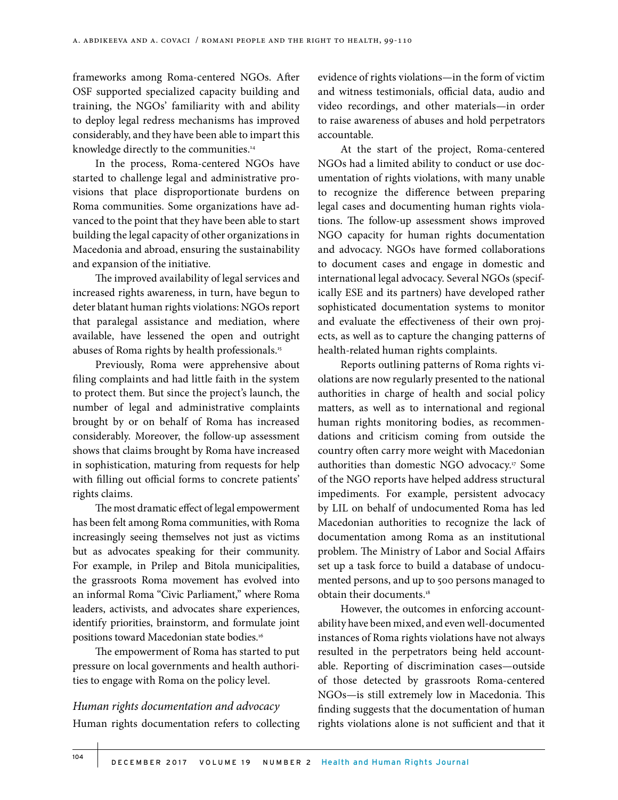frameworks among Roma-centered NGOs. After OSF supported specialized capacity building and training, the NGOs' familiarity with and ability to deploy legal redress mechanisms has improved considerably, and they have been able to impart this knowledge directly to the communities.<sup>14</sup>

In the process, Roma-centered NGOs have started to challenge legal and administrative provisions that place disproportionate burdens on Roma communities. Some organizations have advanced to the point that they have been able to start building the legal capacity of other organizations in Macedonia and abroad, ensuring the sustainability and expansion of the initiative.

The improved availability of legal services and increased rights awareness, in turn, have begun to deter blatant human rights violations: NGOs report that paralegal assistance and mediation, where available, have lessened the open and outright abuses of Roma rights by health professionals.15

Previously, Roma were apprehensive about filing complaints and had little faith in the system to protect them. But since the project's launch, the number of legal and administrative complaints brought by or on behalf of Roma has increased considerably. Moreover, the follow-up assessment shows that claims brought by Roma have increased in sophistication, maturing from requests for help with filling out official forms to concrete patients' rights claims.

The most dramatic effect of legal empowerment has been felt among Roma communities, with Roma increasingly seeing themselves not just as victims but as advocates speaking for their community. For example, in Prilep and Bitola municipalities, the grassroots Roma movement has evolved into an informal Roma "Civic Parliament," where Roma leaders, activists, and advocates share experiences, identify priorities, brainstorm, and formulate joint positions toward Macedonian state bodies.<sup>16</sup>

The empowerment of Roma has started to put pressure on local governments and health authorities to engage with Roma on the policy level.

# *Human rights documentation and advocacy* Human rights documentation refers to collecting

evidence of rights violations—in the form of victim and witness testimonials, official data, audio and video recordings, and other materials—in order to raise awareness of abuses and hold perpetrators accountable.

At the start of the project, Roma-centered NGOs had a limited ability to conduct or use documentation of rights violations, with many unable to recognize the difference between preparing legal cases and documenting human rights violations. The follow-up assessment shows improved NGO capacity for human rights documentation and advocacy. NGOs have formed collaborations to document cases and engage in domestic and international legal advocacy. Several NGOs (specifically ESE and its partners) have developed rather sophisticated documentation systems to monitor and evaluate the effectiveness of their own projects, as well as to capture the changing patterns of health-related human rights complaints.

Reports outlining patterns of Roma rights violations are now regularly presented to the national authorities in charge of health and social policy matters, as well as to international and regional human rights monitoring bodies, as recommendations and criticism coming from outside the country often carry more weight with Macedonian authorities than domestic NGO advocacy.<sup>17</sup> Some of the NGO reports have helped address structural impediments. For example, persistent advocacy by LIL on behalf of undocumented Roma has led Macedonian authorities to recognize the lack of documentation among Roma as an institutional problem. The Ministry of Labor and Social Affairs set up a task force to build a database of undocumented persons, and up to 500 persons managed to obtain their documents.18

However, the outcomes in enforcing accountability have been mixed, and even well-documented instances of Roma rights violations have not always resulted in the perpetrators being held accountable. Reporting of discrimination cases—outside of those detected by grassroots Roma-centered NGOs—is still extremely low in Macedonia. This finding suggests that the documentation of human rights violations alone is not sufficient and that it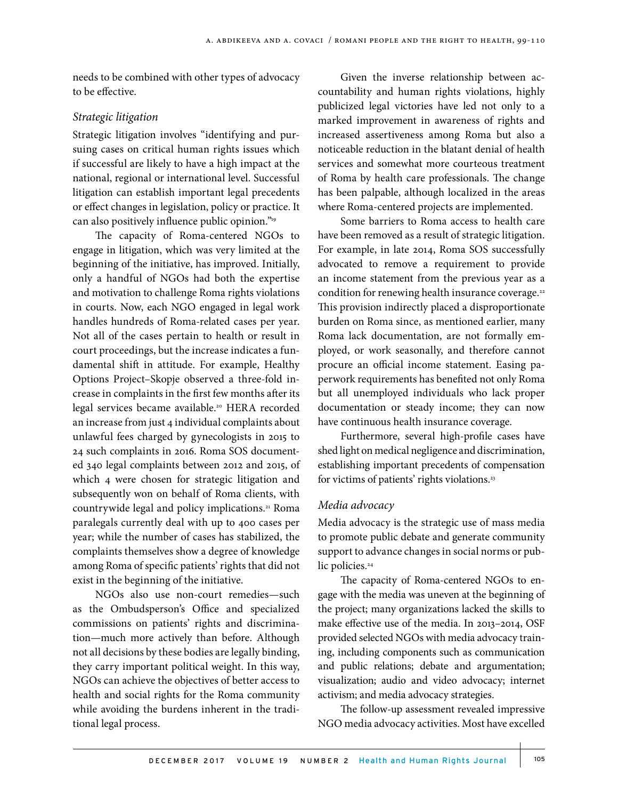needs to be combined with other types of advocacy to be effective.

#### *Strategic litigation*

Strategic litigation involves "identifying and pursuing cases on critical human rights issues which if successful are likely to have a high impact at the national, regional or international level. Successful litigation can establish important legal precedents or effect changes in legislation, policy or practice. It can also positively influence public opinion."<sup>19</sup>

The capacity of Roma-centered NGOs to engage in litigation, which was very limited at the beginning of the initiative, has improved. Initially, only a handful of NGOs had both the expertise and motivation to challenge Roma rights violations in courts. Now, each NGO engaged in legal work handles hundreds of Roma-related cases per year. Not all of the cases pertain to health or result in court proceedings, but the increase indicates a fundamental shift in attitude. For example, Healthy Options Project–Skopje observed a three-fold increase in complaints in the first few months after its legal services became available.<sup>20</sup> HERA recorded an increase from just 4 individual complaints about unlawful fees charged by gynecologists in 2015 to 24 such complaints in 2016. Roma SOS documented 340 legal complaints between 2012 and 2015, of which 4 were chosen for strategic litigation and subsequently won on behalf of Roma clients, with countrywide legal and policy implications.<sup>21</sup> Roma paralegals currently deal with up to 400 cases per year; while the number of cases has stabilized, the complaints themselves show a degree of knowledge among Roma of specific patients' rights that did not exist in the beginning of the initiative.

NGOs also use non-court remedies—such as the Ombudsperson's Office and specialized commissions on patients' rights and discrimination—much more actively than before. Although not all decisions by these bodies are legally binding, they carry important political weight. In this way, NGOs can achieve the objectives of better access to health and social rights for the Roma community while avoiding the burdens inherent in the traditional legal process.

Given the inverse relationship between accountability and human rights violations, highly publicized legal victories have led not only to a marked improvement in awareness of rights and increased assertiveness among Roma but also a noticeable reduction in the blatant denial of health services and somewhat more courteous treatment of Roma by health care professionals. The change has been palpable, although localized in the areas where Roma-centered projects are implemented.

Some barriers to Roma access to health care have been removed as a result of strategic litigation. For example, in late 2014, Roma SOS successfully advocated to remove a requirement to provide an income statement from the previous year as a condition for renewing health insurance coverage.<sup>22</sup> This provision indirectly placed a disproportionate burden on Roma since, as mentioned earlier, many Roma lack documentation, are not formally employed, or work seasonally, and therefore cannot procure an official income statement. Easing paperwork requirements has benefited not only Roma but all unemployed individuals who lack proper documentation or steady income; they can now have continuous health insurance coverage.

Furthermore, several high-profile cases have shed light on medical negligence and discrimination, establishing important precedents of compensation for victims of patients' rights violations.23

#### *Media advocacy*

Media advocacy is the strategic use of mass media to promote public debate and generate community support to advance changes in social norms or public policies.<sup>24</sup>

The capacity of Roma-centered NGOs to engage with the media was uneven at the beginning of the project; many organizations lacked the skills to make effective use of the media. In 2013–2014, OSF provided selected NGOs with media advocacy training, including components such as communication and public relations; debate and argumentation; visualization; audio and video advocacy; internet activism; and media advocacy strategies.

The follow-up assessment revealed impressive NGO media advocacy activities. Most have excelled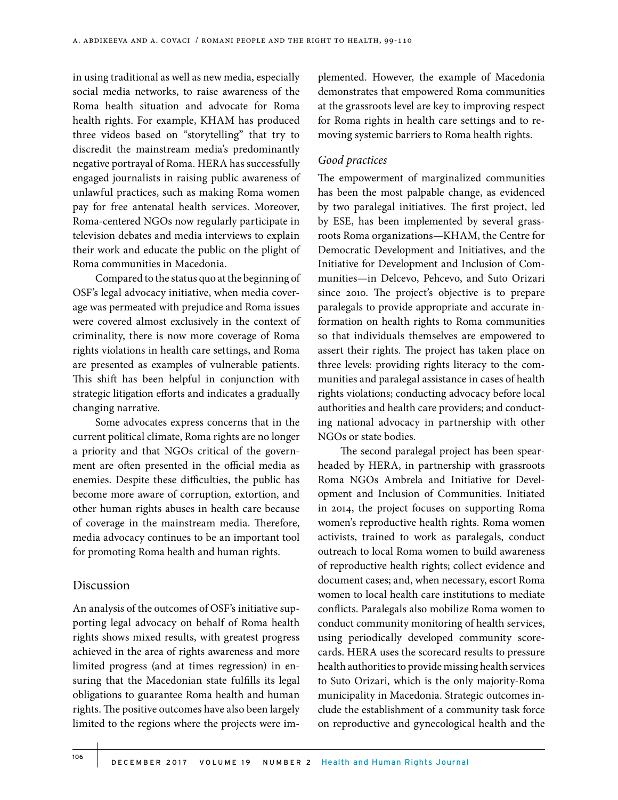in using traditional as well as new media, especially social media networks, to raise awareness of the Roma health situation and advocate for Roma health rights. For example, KHAM has produced three videos based on "storytelling" that try to discredit the mainstream media's predominantly negative portrayal of Roma. HERA has successfully engaged journalists in raising public awareness of unlawful practices, such as making Roma women pay for free antenatal health services. Moreover, Roma-centered NGOs now regularly participate in television debates and media interviews to explain their work and educate the public on the plight of Roma communities in Macedonia.

Compared to the status quo at the beginning of OSF's legal advocacy initiative, when media coverage was permeated with prejudice and Roma issues were covered almost exclusively in the context of criminality, there is now more coverage of Roma rights violations in health care settings, and Roma are presented as examples of vulnerable patients. This shift has been helpful in conjunction with strategic litigation efforts and indicates a gradually changing narrative.

Some advocates express concerns that in the current political climate, Roma rights are no longer a priority and that NGOs critical of the government are often presented in the official media as enemies. Despite these difficulties, the public has become more aware of corruption, extortion, and other human rights abuses in health care because of coverage in the mainstream media. Therefore, media advocacy continues to be an important tool for promoting Roma health and human rights.

# Discussion

An analysis of the outcomes of OSF's initiative supporting legal advocacy on behalf of Roma health rights shows mixed results, with greatest progress achieved in the area of rights awareness and more limited progress (and at times regression) in ensuring that the Macedonian state fulfills its legal obligations to guarantee Roma health and human rights. The positive outcomes have also been largely limited to the regions where the projects were implemented. However, the example of Macedonia demonstrates that empowered Roma communities at the grassroots level are key to improving respect for Roma rights in health care settings and to removing systemic barriers to Roma health rights.

#### *Good practices*

The empowerment of marginalized communities has been the most palpable change, as evidenced by two paralegal initiatives. The first project, led by ESE, has been implemented by several grassroots Roma organizations—KHAM, the Centre for Democratic Development and Initiatives, and the Initiative for Development and Inclusion of Communities—in Delcevo, Pehcevo, and Suto Orizari since 2010. The project's objective is to prepare paralegals to provide appropriate and accurate information on health rights to Roma communities so that individuals themselves are empowered to assert their rights. The project has taken place on three levels: providing rights literacy to the communities and paralegal assistance in cases of health rights violations; conducting advocacy before local authorities and health care providers; and conducting national advocacy in partnership with other NGOs or state bodies.

The second paralegal project has been spearheaded by HERA, in partnership with grassroots Roma NGOs Ambrela and Initiative for Development and Inclusion of Communities. Initiated in 2014, the project focuses on supporting Roma women's reproductive health rights. Roma women activists, trained to work as paralegals, conduct outreach to local Roma women to build awareness of reproductive health rights; collect evidence and document cases; and, when necessary, escort Roma women to local health care institutions to mediate conflicts. Paralegals also mobilize Roma women to conduct community monitoring of health services, using periodically developed community scorecards. HERA uses the scorecard results to pressure health authorities to provide missing health services to Suto Orizari, which is the only majority-Roma municipality in Macedonia. Strategic outcomes include the establishment of a community task force on reproductive and gynecological health and the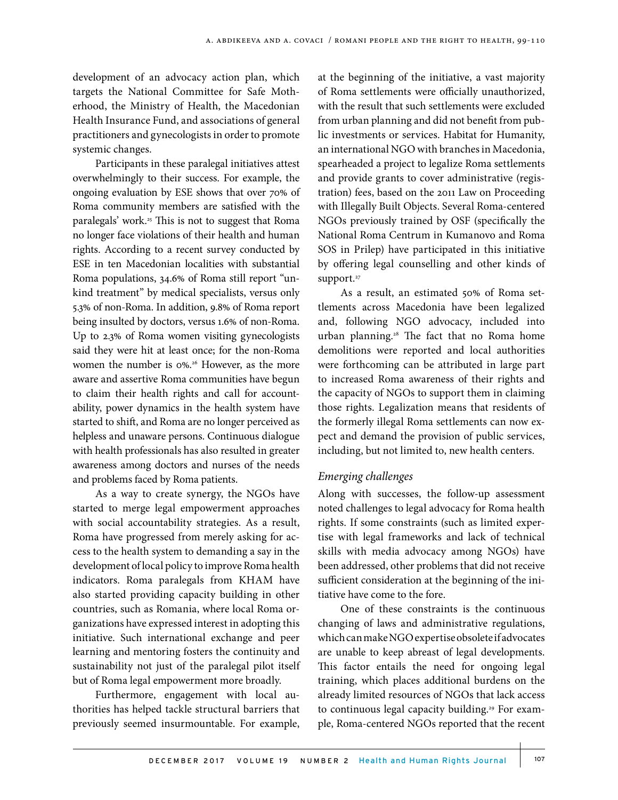development of an advocacy action plan, which targets the National Committee for Safe Motherhood, the Ministry of Health, the Macedonian Health Insurance Fund, and associations of general practitioners and gynecologists in order to promote systemic changes.

Participants in these paralegal initiatives attest overwhelmingly to their success. For example, the ongoing evaluation by ESE shows that over 70% of Roma community members are satisfied with the paralegals' work.<sup>25</sup> This is not to suggest that Roma no longer face violations of their health and human rights. According to a recent survey conducted by ESE in ten Macedonian localities with substantial Roma populations, 34.6% of Roma still report "unkind treatment" by medical specialists, versus only 5.3% of non-Roma. In addition, 9.8% of Roma report being insulted by doctors, versus 1.6% of non-Roma. Up to 2.3% of Roma women visiting gynecologists said they were hit at least once; for the non-Roma women the number is  $0\%$ .<sup>26</sup> However, as the more aware and assertive Roma communities have begun to claim their health rights and call for accountability, power dynamics in the health system have started to shift, and Roma are no longer perceived as helpless and unaware persons. Continuous dialogue with health professionals has also resulted in greater awareness among doctors and nurses of the needs and problems faced by Roma patients.

As a way to create synergy, the NGOs have started to merge legal empowerment approaches with social accountability strategies. As a result, Roma have progressed from merely asking for access to the health system to demanding a say in the development of local policy to improve Roma health indicators. Roma paralegals from KHAM have also started providing capacity building in other countries, such as Romania, where local Roma organizations have expressed interest in adopting this initiative. Such international exchange and peer learning and mentoring fosters the continuity and sustainability not just of the paralegal pilot itself but of Roma legal empowerment more broadly.

Furthermore, engagement with local authorities has helped tackle structural barriers that previously seemed insurmountable. For example,

at the beginning of the initiative, a vast majority of Roma settlements were officially unauthorized, with the result that such settlements were excluded from urban planning and did not benefit from public investments or services. Habitat for Humanity, an international NGO with branches in Macedonia, spearheaded a project to legalize Roma settlements and provide grants to cover administrative (registration) fees, based on the 2011 Law on Proceeding with Illegally Built Objects. Several Roma-centered NGOs previously trained by OSF (specifically the National Roma Centrum in Kumanovo and Roma SOS in Prilep) have participated in this initiative by offering legal counselling and other kinds of support.<sup>27</sup>

As a result, an estimated 50% of Roma settlements across Macedonia have been legalized and, following NGO advocacy, included into urban planning.<sup>28</sup> The fact that no Roma home demolitions were reported and local authorities were forthcoming can be attributed in large part to increased Roma awareness of their rights and the capacity of NGOs to support them in claiming those rights. Legalization means that residents of the formerly illegal Roma settlements can now expect and demand the provision of public services, including, but not limited to, new health centers.

# *Emerging challenges*

Along with successes, the follow-up assessment noted challenges to legal advocacy for Roma health rights. If some constraints (such as limited expertise with legal frameworks and lack of technical skills with media advocacy among NGOs) have been addressed, other problems that did not receive sufficient consideration at the beginning of the initiative have come to the fore.

One of these constraints is the continuous changing of laws and administrative regulations, which can make NGO expertise obsolete if advocates are unable to keep abreast of legal developments. This factor entails the need for ongoing legal training, which places additional burdens on the already limited resources of NGOs that lack access to continuous legal capacity building.<sup>29</sup> For example, Roma-centered NGOs reported that the recent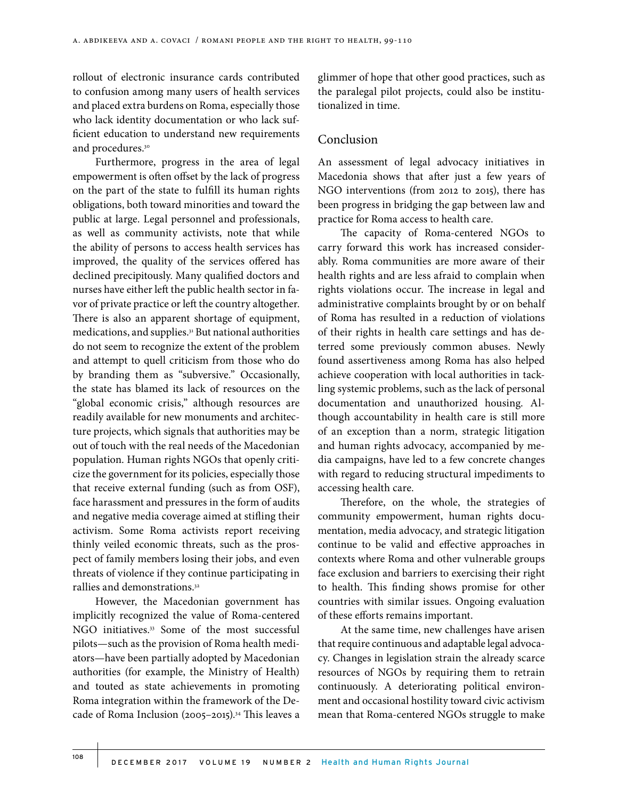rollout of electronic insurance cards contributed to confusion among many users of health services and placed extra burdens on Roma, especially those who lack identity documentation or who lack sufficient education to understand new requirements and procedures.30

Furthermore, progress in the area of legal empowerment is often offset by the lack of progress on the part of the state to fulfill its human rights obligations, both toward minorities and toward the public at large. Legal personnel and professionals, as well as community activists, note that while the ability of persons to access health services has improved, the quality of the services offered has declined precipitously. Many qualified doctors and nurses have either left the public health sector in favor of private practice or left the country altogether. There is also an apparent shortage of equipment, medications, and supplies.31 But national authorities do not seem to recognize the extent of the problem and attempt to quell criticism from those who do by branding them as "subversive." Occasionally, the state has blamed its lack of resources on the "global economic crisis," although resources are readily available for new monuments and architecture projects, which signals that authorities may be out of touch with the real needs of the Macedonian population. Human rights NGOs that openly criticize the government for its policies, especially those that receive external funding (such as from OSF), face harassment and pressures in the form of audits and negative media coverage aimed at stifling their activism. Some Roma activists report receiving thinly veiled economic threats, such as the prospect of family members losing their jobs, and even threats of violence if they continue participating in rallies and demonstrations.32

However, the Macedonian government has implicitly recognized the value of Roma-centered NGO initiatives.<sup>33</sup> Some of the most successful pilots—such as the provision of Roma health mediators—have been partially adopted by Macedonian authorities (for example, the Ministry of Health) and touted as state achievements in promoting Roma integration within the framework of the Decade of Roma Inclusion (2005–2015).34 This leaves a

glimmer of hope that other good practices, such as the paralegal pilot projects, could also be institutionalized in time.

## Conclusion

An assessment of legal advocacy initiatives in Macedonia shows that after just a few years of NGO interventions (from 2012 to 2015), there has been progress in bridging the gap between law and practice for Roma access to health care.

The capacity of Roma-centered NGOs to carry forward this work has increased considerably. Roma communities are more aware of their health rights and are less afraid to complain when rights violations occur. The increase in legal and administrative complaints brought by or on behalf of Roma has resulted in a reduction of violations of their rights in health care settings and has deterred some previously common abuses. Newly found assertiveness among Roma has also helped achieve cooperation with local authorities in tackling systemic problems, such as the lack of personal documentation and unauthorized housing. Although accountability in health care is still more of an exception than a norm, strategic litigation and human rights advocacy, accompanied by media campaigns, have led to a few concrete changes with regard to reducing structural impediments to accessing health care.

Therefore, on the whole, the strategies of community empowerment, human rights documentation, media advocacy, and strategic litigation continue to be valid and effective approaches in contexts where Roma and other vulnerable groups face exclusion and barriers to exercising their right to health. This finding shows promise for other countries with similar issues. Ongoing evaluation of these efforts remains important.

At the same time, new challenges have arisen that require continuous and adaptable legal advocacy. Changes in legislation strain the already scarce resources of NGOs by requiring them to retrain continuously. A deteriorating political environment and occasional hostility toward civic activism mean that Roma-centered NGOs struggle to make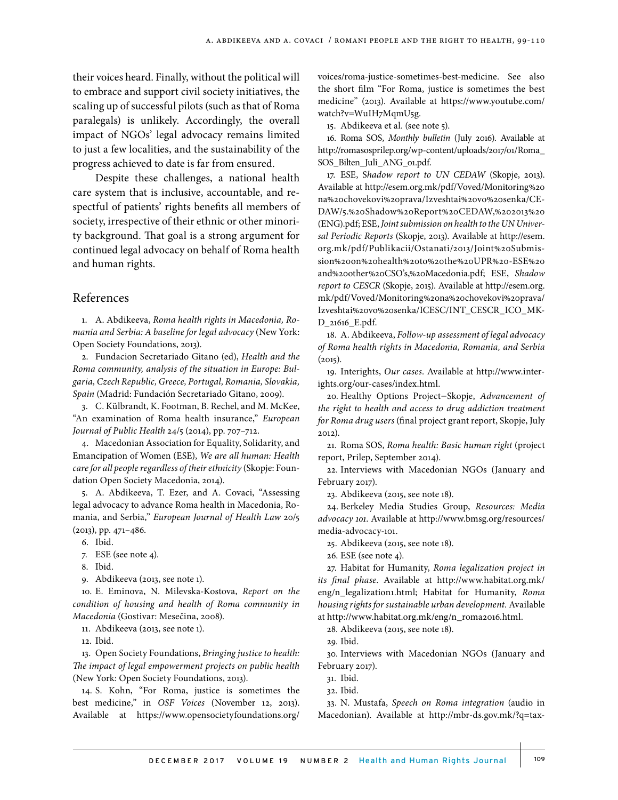their voices heard. Finally, without the political will to embrace and support civil society initiatives, the scaling up of successful pilots (such as that of Roma paralegals) is unlikely. Accordingly, the overall impact of NGOs' legal advocacy remains limited to just a few localities, and the sustainability of the progress achieved to date is far from ensured.

Despite these challenges, a national health care system that is inclusive, accountable, and respectful of patients' rights benefits all members of society, irrespective of their ethnic or other minority background. That goal is a strong argument for continued legal advocacy on behalf of Roma health and human rights.

#### References

1. A. Abdikeeva, *Roma health rights in Macedonia, Romania and Serbia: A baseline for legal advocacy* (New York: Open Society Foundations, 2013).

2. Fundacion Secretariado Gitano (ed), *Health and the Roma community, analysis of the situation in Europe: Bulgaria, Czech Republic, Greece, Portugal, Romania, Slovakia, Spain* (Madrid: Fundación Secretariado Gitano, 2009).

3. C. Külbrandt, K. Footman, B. Rechel, and M. McKee, "An examination of Roma health insurance," *European Journal of Public Health* 24/5 (2014), pp. 707–712.

4. Macedonian Association for Equality, Solidarity, and Emancipation of Women (ESE), *We are all human: Health care for all people regardless of their ethnicity* (Skopje: Foundation Open Society Macedonia, 2014).

5. A. Abdikeeva, T. Ezer, and A. Covaci, "Assessing legal advocacy to advance Roma health in Macedonia, Romania, and Serbia," *European Journal of Health Law* 20/5 (2013), pp. 471–486.

- 6. Ibid.
- 7. ESE (see note 4).
- 8. Ibid.
- 9. Abdikeeva (2013, see note 1).

10. E. Eminova, N. Milevska-Kostova, *Report on the condition of housing and health of Roma community in Macedonia* (Gostivar: Mesečina, 2008).

11. Abdikeeva (2013, see note 1).

12. Ibid.

13. Open Society Foundations, *Bringing justice to health: The impact of legal empowerment projects on public health* (New York: Open Society Foundations, 2013).

14. S. Kohn, "For Roma, justice is sometimes the best medicine," in *OSF Voices* (November 12, 2013). Available at https://www.opensocietyfoundations.org/ voices/roma-justice-sometimes-best-medicine. See also the short film "For Roma, justice is sometimes the best medicine" (2013). Available at https://www.youtube.com/ watch?v=WuIH7MqmU5g.

15. Abdikeeva et al. (see note 5).

16. Roma SOS, *Monthly bulletin* (July 2016). Available at http://romasosprilep.org/wp-content/uploads/2017/01/Roma\_ SOS\_Bilten\_Juli\_ANG\_01.pdf.

17. ESE, S*hadow report to UN CEDAW* (Skopje, 2013). Available at http://esem.org.mk/pdf/Voved/Monitoring%20 na%20chovekovi%20prava/Izveshtai%20vo%20senka/CE-DAW/5.%20Shadow%20Report%20CEDAW,%202013%20 (ENG).pdf; ESE, *Joint submission on health to the UN Universal Periodic Reports* (Skopje, 2013). Available at http://esem. org.mk/pdf/Publikacii/Ostanati/2013/Joint%20Submission%20on%20health%20to%20the%20UPR%20-ESE%20 and%20other%20CSO's,%20Macedonia.pdf; ESE, *Shadow report to CESCR* (Skopje, 2015). Available at http://esem.org. mk/pdf/Voved/Monitoring%20na%20chovekovi%20prava/ Izveshtai%20vo%20senka/ICESC/INT\_CESCR\_ICO\_MK-D\_21616\_E.pdf.

18. A. Abdikeeva, *Follow-up assessment of legal advocacy of Roma health rights in Macedonia, Romania, and Serbia*  $(2015).$ 

19. Interights, *Our cases*. Available at http://www.interights.org/our-cases/index.html.

20. Healthy Options Project–Skopje, *Advancement of the right to health and access to drug addiction treatment for Roma drug users* (final project grant report, Skopje, July 2012).

21. Roma SOS, *Roma health: Basic human right* (project report, Prilep, September 2014).

22. Interviews with Macedonian NGOs (January and February 2017).

23. Abdikeeva (2015, see note 18).

24. Berkeley Media Studies Group, *Resources: Media advocacy 101*. Available at http://www.bmsg.org/resources/ media-advocacy-101.

25. Abdikeeva (2015, see note 18).

26. ESE (see note 4).

27. Habitat for Humanity, *Roma legalization project in its final phase*. Available at http://www.habitat.org.mk/ eng/n\_legalization1.html; Habitat for Humanity, *Roma housing rights for sustainable urban development.* Available at http://www.habitat.org.mk/eng/n\_roma2016.html.

28. Abdikeeva (2015, see note 18).

29. Ibid.

30. Interviews with Macedonian NGOs (January and February 2017).

31. Ibid.

32. Ibid.

33. N. Mustafa, *Speech on Roma integration* (audio in Macedonian). Available at http://mbr-ds.gov.mk/?q=tax